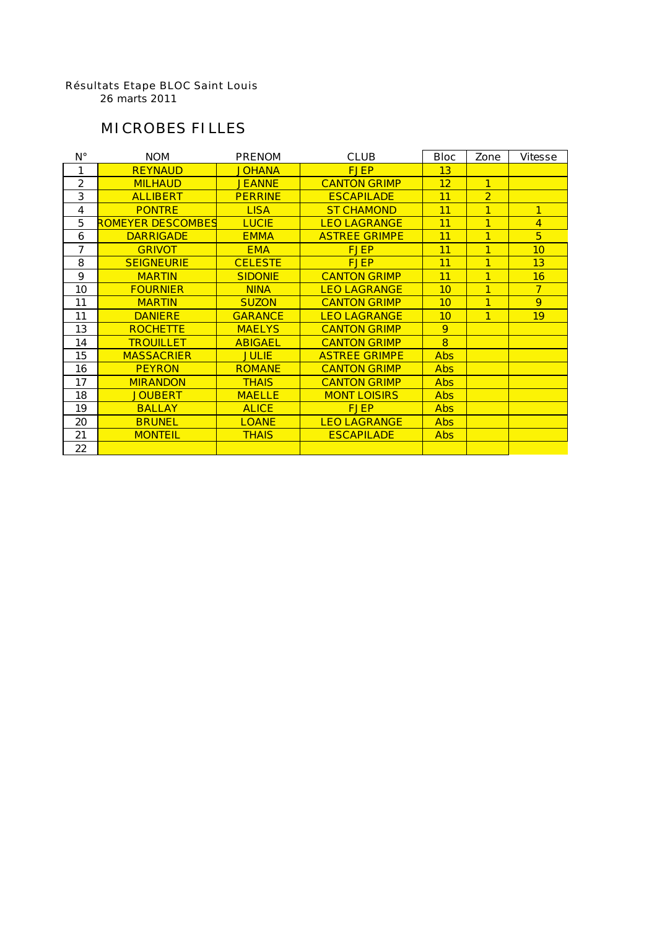#### Résultats Etape BLOC Saint Louis

26 marts 2011

## MICROBES FILLES

| $N^{\circ}$    | <b>NOM</b>               | <b>PRENOM</b>  | <b>CLUB</b>          | <b>Bloc</b> | Zone           | <b>Vitesse</b> |
|----------------|--------------------------|----------------|----------------------|-------------|----------------|----------------|
| 1              | <b>REYNAUD</b>           | <b>JOHANA</b>  | <b>FJEP</b>          | 13          |                |                |
| $\overline{2}$ | <b>MILHAUD</b>           | <b>JEANNE</b>  | <b>CANTON GRIMP</b>  | 12          | $\mathbf{1}$   |                |
| 3              | <b>ALLIBERT</b>          | <b>PERRINE</b> | <b>ESCAPILADE</b>    | 11          | $\overline{2}$ |                |
| 4              | <b>PONTRE</b>            | <b>LISA</b>    | <b>ST CHAMOND</b>    | 11          | 1              | 1              |
| 5              | <b>ROMEYER DESCOMBES</b> | <b>LUCIE</b>   | <b>LEO LAGRANGE</b>  | 11          | 1              | 4              |
| 6              | <b>DARRIGADE</b>         | <b>EMMA</b>    | <b>ASTREE GRIMPE</b> | 11          | 1              | 5              |
| 7              | <b>GRIVOT</b>            | <b>EMA</b>     | <b>FJEP</b>          | 11          | 1              | 10             |
| 8              | <b>SEIGNEURIE</b>        | <b>CELESTE</b> | <b>FJEP</b>          | 11          | 1              | 13             |
| 9              | <b>MARTIN</b>            | <b>SIDONIE</b> | <b>CANTON GRIMP</b>  | 11          | 1              | 16             |
| 10             | <b>FOURNIER</b>          | <b>NINA</b>    | <b>LEO LAGRANGE</b>  | 10          | 1              | $\overline{7}$ |
| 11             | <b>MARTIN</b>            | <b>SUZON</b>   | <b>CANTON GRIMP</b>  | 10          | 1              | 9              |
| 11             | <b>DANIERE</b>           | <b>GARANCE</b> | <b>LEO LAGRANGE</b>  | 10          | 1              | 19             |
| 13             | <b>ROCHETTE</b>          | <b>MAELYS</b>  | <b>CANTON GRIMP</b>  | 9           |                |                |
| 14             | <b>TROUILLET</b>         | <b>ABIGAEL</b> | <b>CANTON GRIMP</b>  | $\bf{8}$    |                |                |
| 15             | <b>MASSACRIER</b>        | <b>JULIE</b>   | <b>ASTREE GRIMPE</b> | <b>Abs</b>  |                |                |
| 16             | <b>PEYRON</b>            | <b>ROMANE</b>  | <b>CANTON GRIMP</b>  | <b>Abs</b>  |                |                |
| 17             | <b>MIRANDON</b>          | <b>THAIS</b>   | <b>CANTON GRIMP</b>  | <b>Abs</b>  |                |                |
| 18             | <b>JOUBERT</b>           | <b>MAELLE</b>  | <b>MONT LOISIRS</b>  | <b>Abs</b>  |                |                |
| 19             | <b>BALLAY</b>            | <b>ALICE</b>   | <b>FJEP</b>          | <b>Abs</b>  |                |                |
| 20             | <b>BRUNEL</b>            | <b>LOANE</b>   | <b>LEO LAGRANGE</b>  | <b>Abs</b>  |                |                |
| 21             | <b>MONTEIL</b>           | <b>THAIS</b>   | <b>ESCAPILADE</b>    | <b>Abs</b>  |                |                |
| 22             |                          |                |                      |             |                |                |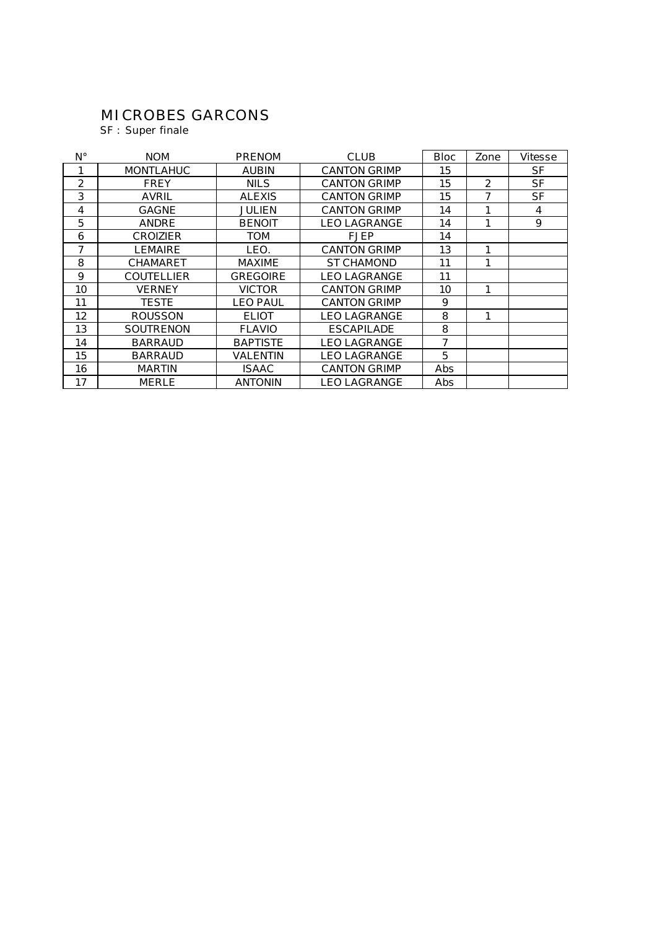## MICROBES GARCONS

SF : Super finale

| Ν°             | <b>NOM</b>        | <b>PRENOM</b>   | <b>CLUB</b>         | <b>Bloc</b> | Zone           | <b>Vitesse</b> |
|----------------|-------------------|-----------------|---------------------|-------------|----------------|----------------|
| 1              | <b>MONTLAHUC</b>  | <b>AUBIN</b>    | <b>CANTON GRIMP</b> | 15          |                | <b>SF</b>      |
| $\overline{2}$ | <b>FREY</b>       | <b>NILS</b>     | <b>CANTON GRIMP</b> | 15          | $\overline{2}$ | <b>SF</b>      |
| 3              | <b>AVRIL</b>      | <b>ALEXIS</b>   | <b>CANTON GRIMP</b> | 15          |                | <b>SF</b>      |
| 4              | <b>GAGNE</b>      | <b>JULIEN</b>   | <b>CANTON GRIMP</b> | 14          |                | 4              |
| 5              | <b>ANDRE</b>      | <b>BENOIT</b>   | <b>LEO LAGRANGE</b> | 14          |                | 9              |
| 6              | <b>CROIZIER</b>   | <b>TOM</b>      | <b>FJEP</b>         | 14          |                |                |
| 7              | <b>LEMAIRE</b>    | LEO.            | <b>CANTON GRIMP</b> | 13          |                |                |
| 8              | <b>CHAMARET</b>   | <b>MAXIME</b>   | <b>ST CHAMOND</b>   | 11          |                |                |
| 9              | <b>COUTELLIER</b> | <b>GREGOIRE</b> | <b>LEO LAGRANGE</b> | 11          |                |                |
| 10             | <b>VERNEY</b>     | <b>VICTOR</b>   | <b>CANTON GRIMP</b> | 10          |                |                |
| 11             | <b>TESTE</b>      | <b>LEO PAUL</b> | <b>CANTON GRIMP</b> | 9           |                |                |
| 12             | <b>ROUSSON</b>    | <b>ELIOT</b>    | <b>LEO LAGRANGE</b> | 8           |                |                |
| 13             | <b>SOUTRENON</b>  | <b>FLAVIO</b>   | <b>ESCAPILADE</b>   | 8           |                |                |
| 14             | <b>BARRAUD</b>    | <b>BAPTISTE</b> | <b>LEO LAGRANGE</b> | 7           |                |                |
| 15             | <b>BARRAUD</b>    | VALENTIN        | <b>LEO LAGRANGE</b> | 5           |                |                |
| 16             | <b>MARTIN</b>     | <b>ISAAC</b>    | <b>CANTON GRIMP</b> | Abs         |                |                |
| 17             | <b>MERLE</b>      | <b>ANTONIN</b>  | <b>LEO LAGRANGE</b> | Abs         |                |                |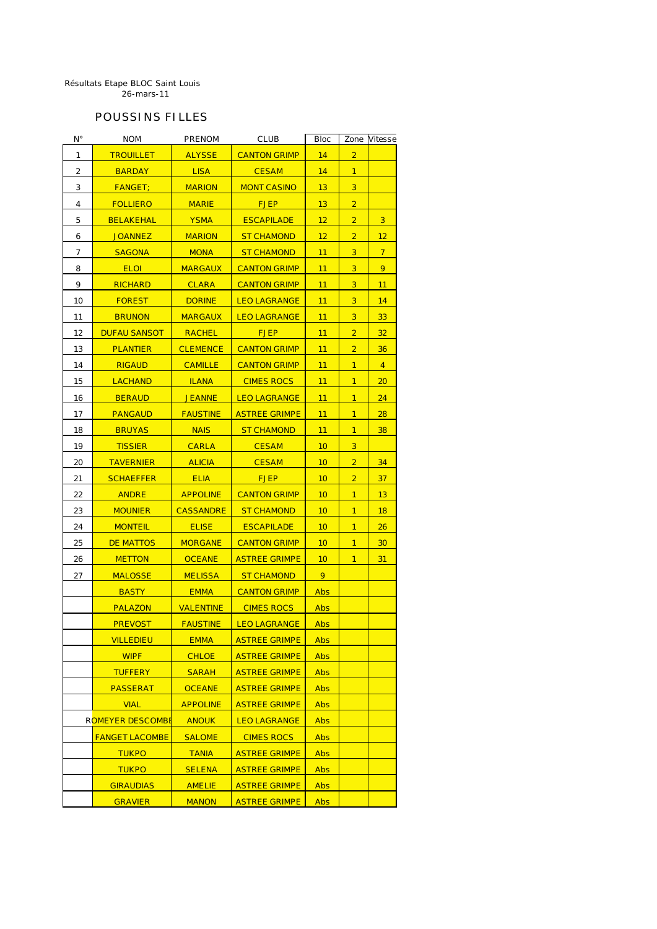#### POUSSINS FILLES

| N۰ | <b>NOM</b>              | <b>PRENOM</b>    | <b>CLUB</b>          | <b>Bloc</b> | Zone           | Vitesse        |
|----|-------------------------|------------------|----------------------|-------------|----------------|----------------|
| 1  | <b>TROUILLET</b>        | <b>ALYSSE</b>    | <b>CANTON GRIMP</b>  | 14          | $\overline{2}$ |                |
| 2  | <b>BARDAY</b>           | <b>LISA</b>      | <b>CESAM</b>         | 14          | $\mathbf{1}$   |                |
| 3  | <b>FANGET;</b>          | <b>MARION</b>    | <b>MONT CASINO</b>   | 13          | 3              |                |
| 4  | <b>FOLLIERO</b>         | <b>MARIE</b>     | <b>FJEP</b>          | 13          | $\overline{2}$ |                |
| 5  | <b>BELAKEHAL</b>        | <b>YSMA</b>      | <b>ESCAPILADE</b>    | 12          | $\overline{2}$ | 3              |
| 6  | <b>JOANNEZ</b>          | <b>MARION</b>    | <b>ST CHAMOND</b>    | 12          | $\overline{2}$ | 12             |
| 7  | <b>SAGONA</b>           | <b>MONA</b>      | <b>ST CHAMOND</b>    | 11          | 3              | $\overline{7}$ |
| 8  | <b>ELOI</b>             | <b>MARGAUX</b>   | <b>CANTON GRIMP</b>  | 11          | 3              | 9              |
| 9  | <b>RICHARD</b>          | <b>CLARA</b>     | <b>CANTON GRIMP</b>  | 11          | 3              | 11             |
| 10 | <b>FOREST</b>           | <b>DORINE</b>    | <b>LEO LAGRANGE</b>  | 11          | 3              | 14             |
| 11 | <b>BRUNON</b>           | <b>MARGAUX</b>   | <b>LEO LAGRANGE</b>  | 11          | 3              | 33             |
| 12 | <b>DUFAU SANSOT</b>     | <b>RACHEL</b>    | <b>FJEP</b>          | 11          | $\overline{2}$ | 32             |
| 13 | <b>PLANTIER</b>         | <b>CLEMENCE</b>  | <b>CANTON GRIMP</b>  | 11          | $\overline{2}$ | 36             |
| 14 | <b>RIGAUD</b>           | <b>CAMILLE</b>   | <b>CANTON GRIMP</b>  | 11          | $\mathbf{1}$   | $\overline{4}$ |
| 15 | <b>LACHAND</b>          | <b>ILANA</b>     | <b>CIMES ROCS</b>    | 11          | 1              | 20             |
| 16 | <b>BERAUD</b>           | <b>JEANNE</b>    | <b>LEO LAGRANGE</b>  | 11          | $\mathbf{1}$   | 24             |
| 17 | <b>PANGAUD</b>          | <b>FAUSTINE</b>  | <b>ASTREE GRIMPE</b> | 11          | $\mathbf{1}$   | 28             |
| 18 | <b>BRUYAS</b>           | <b>NAIS</b>      | <b>ST CHAMOND</b>    | 11          | $\mathbf{1}$   | 38             |
| 19 | <b>TISSIER</b>          | <b>CARLA</b>     | <b>CESAM</b>         | 10          | 3              |                |
| 20 | <b>TAVERNIER</b>        | <b>ALICIA</b>    | <b>CESAM</b>         | 10          | $\overline{2}$ | 34             |
| 21 | <b>SCHAEFFER</b>        | <b>ELIA</b>      | <b>FJEP</b>          | 10          | $\overline{2}$ | 37             |
| 22 | <b>ANDRE</b>            | <b>APPOLINE</b>  | <b>CANTON GRIMP</b>  | 10          | $\mathbf{1}$   | 13             |
| 23 | <b>MOUNIER</b>          | <b>CASSANDRE</b> | <b>ST CHAMOND</b>    | 10          | $\mathbf{1}$   | 18             |
| 24 | <b>MONTEIL</b>          | <b>ELISE</b>     | <b>ESCAPILADE</b>    | 10          | 1              | 26             |
| 25 | <b>DE MATTOS</b>        | <b>MORGANE</b>   | <b>CANTON GRIMP</b>  | 10          | $\mathbf{1}$   | 30             |
| 26 | <b>METTON</b>           | <b>OCEANE</b>    | <b>ASTREE GRIMPE</b> | 10          | $\mathbf{1}$   | 31             |
| 27 | <b>MALOSSE</b>          | <b>MELISSA</b>   | <b>ST CHAMOND</b>    | 9           |                |                |
|    | <b>BASTY</b>            | <b>EMMA</b>      | <b>CANTON GRIMP</b>  | <b>Abs</b>  |                |                |
|    | <b>PALAZON</b>          | <b>VALENTINE</b> | <b>CIMES ROCS</b>    | <b>Abs</b>  |                |                |
|    | <b>PREVOST</b>          | <b>FAUSTINE</b>  | <b>LEO LAGRANGE</b>  | Abs         |                |                |
|    | <b>VILLEDIEU</b>        | <b>EMMA</b>      | <b>ASTREE GRIMPE</b> | <b>Abs</b>  |                |                |
|    | <b>WIPF</b>             | <b>CHLOE</b>     | <b>ASTREE GRIMPE</b> | <b>Abs</b>  |                |                |
|    | <b>TUFFERY</b>          | <b>SARAH</b>     | <b>ASTREE GRIMPE</b> | <b>Abs</b>  |                |                |
|    | <b>PASSERAT</b>         | <b>OCEANE</b>    | <b>ASTREE GRIMPE</b> | <b>Abs</b>  |                |                |
|    | <b>VIAL</b>             | <b>APPOLINE</b>  | <b>ASTREE GRIMPE</b> | <b>Abs</b>  |                |                |
|    | <b>ROMEYER DESCOMBE</b> | <b>ANOUK</b>     | <b>LEO LAGRANGE</b>  | <b>Abs</b>  |                |                |
|    | <b>FANGET LACOMBE</b>   | <b>SALOME</b>    | <b>CIMES ROCS</b>    | <b>Abs</b>  |                |                |
|    | <b>TUKPO</b>            | <b>TANIA</b>     | <b>ASTREE GRIMPE</b> | <b>Abs</b>  |                |                |
|    | <b>TUKPO</b>            | <b>SELENA</b>    | <b>ASTREE GRIMPE</b> | <b>Abs</b>  |                |                |
|    | <b>GIRAUDIAS</b>        | <b>AMELIE</b>    | <b>ASTREE GRIMPE</b> | <b>Abs</b>  |                |                |
|    | <b>GRAVIER</b>          | <b>MANON</b>     | <b>ASTREE GRIMPE</b> | <b>Abs</b>  |                |                |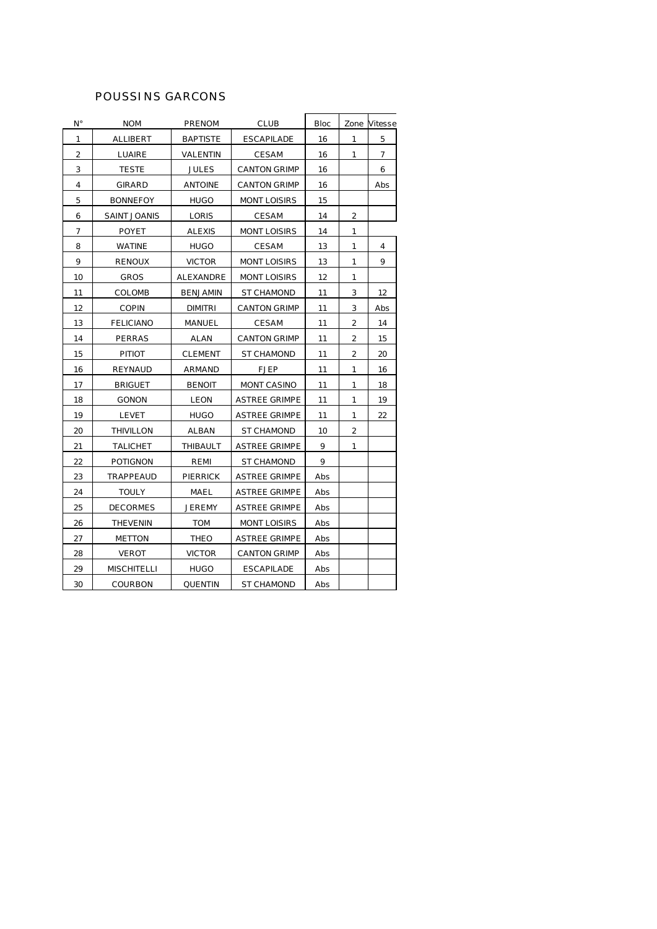### POUSSINS GARCONS

| Ν°             | <b>NOM</b>          | <b>PRENOM</b>    | <b>CLUB</b>          | <b>Bloc</b> |                | Zone Vitesse   |
|----------------|---------------------|------------------|----------------------|-------------|----------------|----------------|
| 1              | <b>ALLIBERT</b>     | <b>BAPTISTE</b>  | <b>ESCAPILADE</b>    | 16          | 1              | 5              |
| $\overline{2}$ | <b>LUAIRE</b>       | <b>VALENTIN</b>  | <b>CESAM</b>         | 16          | 1              | $\overline{ }$ |
| 3              | <b>TESTE</b>        | <b>JULES</b>     | <b>CANTON GRIMP</b>  | 16          |                | 6              |
| 4              | <b>GIRARD</b>       | <b>ANTOINE</b>   | <b>CANTON GRIMP</b>  | 16          |                | Abs            |
| 5              | <b>BONNEFOY</b>     | <b>HUGO</b>      | <b>MONT LOISIRS</b>  | 15          |                |                |
| 6              | <b>SAINT JOANIS</b> | <b>LORIS</b>     | <b>CESAM</b>         | 14          | $\overline{2}$ |                |
| 7              | <b>POYET</b>        | ALEXIS           | <b>MONT LOISIRS</b>  | 14          | $\mathbf{1}$   |                |
| 8              | <b>WATINE</b>       | <b>HUGO</b>      | <b>CESAM</b>         | 13          | 1              | 4              |
| 9              | <b>RENOUX</b>       | <b>VICTOR</b>    | <b>MONT LOISIRS</b>  | 13          | 1              | 9              |
| 10             | <b>GROS</b>         | <b>ALEXANDRE</b> | <b>MONT LOISIRS</b>  | 12          | 1              |                |
| 11             | <b>COLOMB</b>       | <b>BENJAMIN</b>  | <b>ST CHAMOND</b>    | 11          | 3              | 12             |
| 12             | <b>COPIN</b>        | <b>DIMITRI</b>   | <b>CANTON GRIMP</b>  | 11          | 3              | Abs            |
| 13             | <b>FELICIANO</b>    | <b>MANUEL</b>    | <b>CESAM</b>         | 11          | 2              | 14             |
| 14             | <b>PERRAS</b>       | ALAN             | <b>CANTON GRIMP</b>  | 11          | 2              | 15             |
| 15             | <b>PITIOT</b>       | <b>CLEMENT</b>   | <b>ST CHAMOND</b>    | 11          | $\overline{2}$ | 20             |
| 16             | <b>REYNAUD</b>      | ARMAND           | <b>FJEP</b>          | 11          | 1              | 16             |
| 17             | <b>BRIGUET</b>      | <b>BENOIT</b>    | <b>MONT CASINO</b>   | 11          | 1              | 18             |
| 18             | <b>GONON</b>        | <b>LEON</b>      | <b>ASTREE GRIMPE</b> | 11          | 1              | 19             |
| 19             | <b>LEVET</b>        | <b>HUGO</b>      | <b>ASTREE GRIMPE</b> | 11          | 1              | 22             |
| 20             | THIVILLON           | ALBAN            | <b>ST CHAMOND</b>    | 10          | 2              |                |
| 21             | <b>TALICHET</b>     | THIBAULT         | <b>ASTREE GRIMPE</b> | 9           | 1              |                |
| 22             | <b>POTIGNON</b>     | REMI             | <b>ST CHAMOND</b>    | 9           |                |                |
| 23             | <b>TRAPPEAUD</b>    | <b>PIERRICK</b>  | <b>ASTREE GRIMPE</b> | Abs         |                |                |
| 24             | <b>TOULY</b>        | <b>MAEL</b>      | <b>ASTREE GRIMPE</b> | Abs         |                |                |
| 25             | <b>DECORMES</b>     | <b>JEREMY</b>    | <b>ASTREE GRIMPE</b> | Abs         |                |                |
| 26             | <b>THEVENIN</b>     | <b>TOM</b>       | <b>MONT LOISIRS</b>  | Abs         |                |                |
| 27             | <b>METTON</b>       | THEO             | <b>ASTREE GRIMPE</b> | Abs         |                |                |
| 28             | <b>VEROT</b>        | <b>VICTOR</b>    | <b>CANTON GRIMP</b>  | <b>Abs</b>  |                |                |
| 29             | <b>MISCHITELLI</b>  | <b>HUGO</b>      | <b>ESCAPILADE</b>    | Abs         |                |                |
| 30             | <b>COURBON</b>      | <b>QUENTIN</b>   | <b>ST CHAMOND</b>    | Abs         |                |                |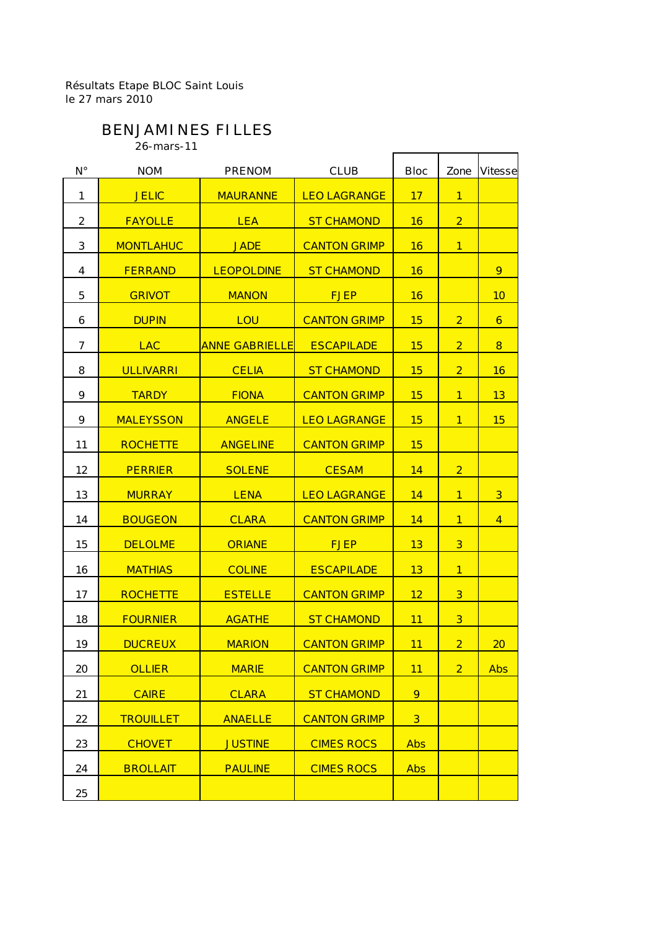# BENJAMINES FILLES

26-mars-11

| $N^{\circ}$    | <b>NOM</b>       | <b>PRENOM</b>         | <b>CLUB</b>         | <b>Bloc</b>    | Zone           | <b>Vitesse</b>          |
|----------------|------------------|-----------------------|---------------------|----------------|----------------|-------------------------|
| 1              | <b>JELIC</b>     | <b>MAURANNE</b>       | <b>LEO LAGRANGE</b> | 17             | $\overline{1}$ |                         |
| $\overline{2}$ | <b>FAYOLLE</b>   | <b>LEA</b>            | <b>ST CHAMOND</b>   | 16             | $\overline{2}$ |                         |
| 3              | <b>MONTLAHUC</b> | <b>JADE</b>           | <b>CANTON GRIMP</b> | 16             | $\mathbf{1}$   |                         |
| 4              | <b>FERRAND</b>   | <b>LEOPOLDINE</b>     | <b>ST CHAMOND</b>   | 16             |                | 9                       |
| 5              | <b>GRIVOT</b>    | <b>MANON</b>          | <b>FJEP</b>         | 16             |                | 10                      |
| 6              | <b>DUPIN</b>     | LOU                   | <b>CANTON GRIMP</b> | 15             | $\overline{2}$ | 6                       |
| $\overline{7}$ | <b>LAC</b>       | <b>ANNE GABRIELLE</b> | <b>ESCAPILADE</b>   | 15             | $\overline{2}$ | 8                       |
| 8              | <b>ULLIVARRI</b> | <b>CELIA</b>          | <b>ST CHAMOND</b>   | 15             | 2 <sup>1</sup> | 16                      |
| 9              | <b>TARDY</b>     | <b>FIONA</b>          | <b>CANTON GRIMP</b> | 15             | $\mathbf{1}$   | 13                      |
| 9              | <b>MALEYSSON</b> | <b>ANGELE</b>         | <b>LEO LAGRANGE</b> | 15             | $\mathbf{1}$   | 15                      |
| 11             | <b>ROCHETTE</b>  | <b>ANGELINE</b>       | <b>CANTON GRIMP</b> | 15             |                |                         |
| 12             | <b>PERRIER</b>   | <b>SOLENE</b>         | <b>CESAM</b>        | 14             | $\overline{2}$ |                         |
| 13             | <b>MURRAY</b>    | <b>LENA</b>           | <b>LEO LAGRANGE</b> | 14             | $\mathbf{1}$   | $\overline{\mathbf{3}}$ |
| 14             | <b>BOUGEON</b>   | <b>CLARA</b>          | <b>CANTON GRIMP</b> | 14             | $\mathbf{1}$   | $\overline{4}$          |
| 15             | <b>DELOLME</b>   | <b>ORIANE</b>         | <b>FJEP</b>         | 13             | $\overline{3}$ |                         |
| 16             | <b>MATHIAS</b>   | <b>COLINE</b>         | <b>ESCAPILADE</b>   | 13             | $\overline{1}$ |                         |
| 17             | <b>ROCHETTE</b>  | <b>ESTELLE</b>        | <b>CANTON GRIMP</b> | 12             | $\overline{3}$ |                         |
| 18             | <b>FOURNIER</b>  | <b>AGATHE</b>         | <b>ST CHAMOND</b>   | 11             | $\overline{3}$ |                         |
| 19             | <b>DUCREUX</b>   | <b>MARION</b>         | <b>CANTON GRIMP</b> | 11             | $\overline{2}$ | 20                      |
| 20             | <b>OLLIER</b>    | <b>MARIE</b>          | <b>CANTON GRIMP</b> | 11             | $\overline{2}$ | <b>Abs</b>              |
| 21             | <b>CAIRE</b>     | <b>CLARA</b>          | <b>ST CHAMOND</b>   | 9              |                |                         |
| 22             | <b>TROUILLET</b> | <b>ANAELLE</b>        | <b>CANTON GRIMP</b> | 3 <sup>2</sup> |                |                         |
| 23             | <b>CHOVET</b>    | <b>JUSTINE</b>        | <b>CIMES ROCS</b>   | <b>Abs</b>     |                |                         |
| 24             | <b>BROLLAIT</b>  | <b>PAULINE</b>        | <b>CIMES ROCS</b>   | <b>Abs</b>     |                |                         |
| 25             |                  |                       |                     |                |                |                         |